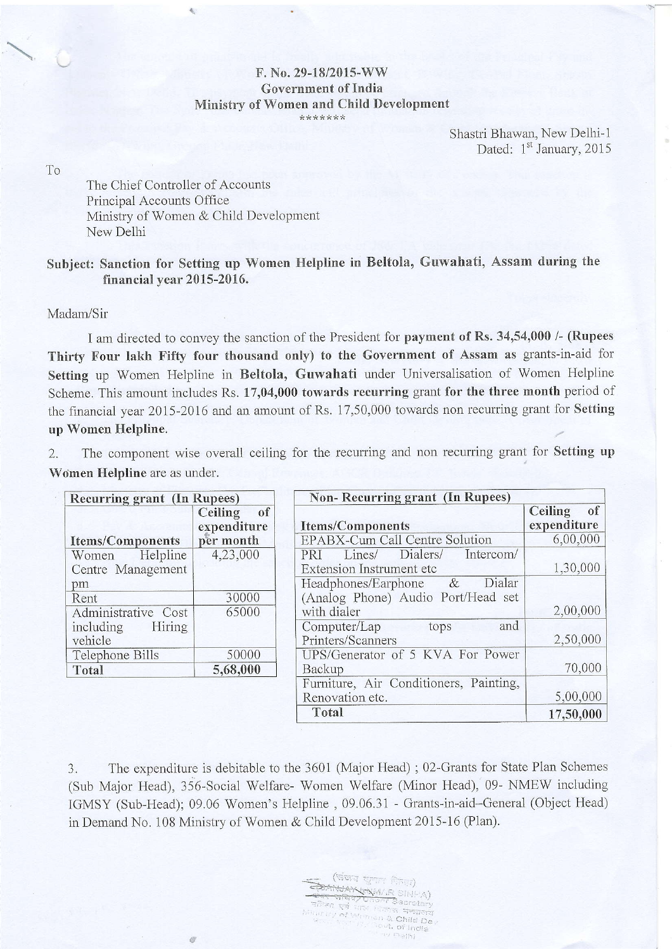## $F. No. 29-18/2015-WW$ Government of India Ministrv of Women and Child Development \*\*\*\*\*\*\*

Shastri Bhawan, New Delhi-1 Dated: 1<sup>st</sup> January, 2015

To

The Chief Controlier of Accounts Principal Accounts Office Ministry of Women & Child Development New Delhi

参

à.

## Subject: Sanction for Setting up Women Helpline in Beltola, Guwahati, Assam during the financial year 2015-2016.

Madam/Sir

I am directed to convey the sanction of the President for payment of Rs. 34,54,000 /- (Rupees Thirty Four lakh Fifty four thousand only) to the Government of Assam as grants-in-aid for Setting up Women Helpline in Beltola, Guwahati under Universalisation of Women Helpline Scheme. This amount includes Rs. 17,04,000 towards recurring grant for the three month period of the financial year 2015-2016 and an amount of Rs. 17,50,000 towards non recurring grant for Setting up Women Helpline.

2. The component wise overall ceiling for the recurring and non recurring grant for Setting up Women Helpline are as under.

| <b>Recurring grant (In Rupees)</b> |               | Non-Recurring grant (In Rupees)        |               |
|------------------------------------|---------------|----------------------------------------|---------------|
|                                    | of<br>Ceiling |                                        | of<br>Ceiling |
|                                    | expenditure   | <b>Items/Components</b>                | expenditure   |
| <b>Items/Components</b>            | per month     | EPABX-Cum Call Centre Solution         | 6,00,000      |
| Helpline<br>Women                  | 4,23,000      | Dialers/<br>Intercom/<br>Lines/<br>PRI |               |
| Centre Management                  |               | Extension Instrument etc               | 1,30,000      |
| pm                                 |               | Dialar<br>Headphones/Earphone $\&$     |               |
| Rent                               | 30000         | (Analog Phone) Audio Port/Head set     |               |
| Administrative Cost                | 65000         | with dialer                            | 2,00,000      |
| Hiring<br>including                |               | Computer/Lap<br>and<br>tops            |               |
| vehicle                            |               | Printers/Scanners                      | 2,50,000      |
| Telephone Bills                    | 50000         | UPS/Generator of 5 KVA For Power       |               |
| Total                              | 5,68,000      | Backup                                 | 70,000        |
|                                    |               | Furniture, Air Conditioners, Painting, |               |
|                                    |               | Renovation etc.                        | 5,00,000      |
|                                    |               | Total                                  | 17,50,000     |

3. The expenditure is debitable to the 3601 (Major Head); 02-Grants for State Plan Schemes (Sub Major Head), 356-Social Welfare- Women Welfare (Minor Head), 09- NMEW including IGMSY (Sub-Head); 09.06 Women's Helpline, 09.06.31 - Grants-in-aid--General (Object Head) in Demand No. 108 Ministry of Women & Child Development 2015-16 (Plan).

> (संख्य खुवार जिला)<br>सम्बद्ध खुवार जिला) SANJAK पनों <sup>3</sup> Child De vt. of India